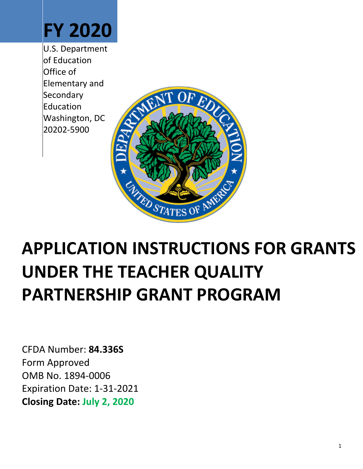# **FY 2020**

U.S. Department of Education Office of Elementary and **Secondary** Education Washington, DC 20202-5900



# **APPLICATION INSTRUCTIONS FOR GRANTS UNDER THE TEACHER QUALITY PARTNERSHIP GRANT PROGRAM**

CFDA Number: **84.336S** Form Approved OMB No. 1894-0006 Expiration Date: 1-31-2021 **Closing Date: July 2, 2020**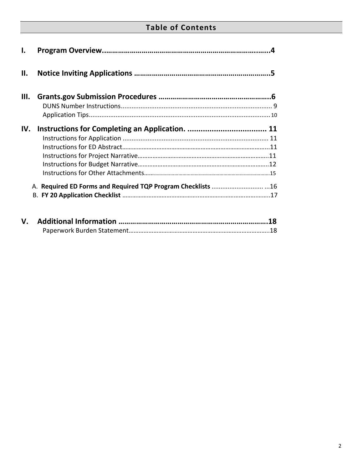# **Table of Contents**

| $\mathbf{l}$ . |  |
|----------------|--|
| П.             |  |
| Ш.             |  |
|                |  |
|                |  |
| IV.            |  |
|                |  |
|                |  |
|                |  |
|                |  |
|                |  |
|                |  |
|                |  |
|                |  |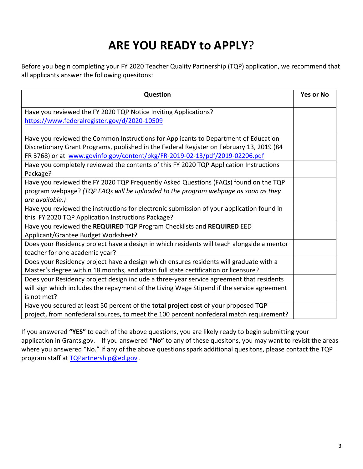# **ARE YOU READY to APPLY**?

Before you begin completing your FY 2020 Teacher Quality Partnership (TQP) application, we recommend that all applicants answer the following quesitons:

| <b>Question</b>                                                                            | <b>Yes or No</b> |
|--------------------------------------------------------------------------------------------|------------------|
| Have you reviewed the FY 2020 TQP Notice Inviting Applications?                            |                  |
| https://www.federalregister.gov/d/2020-10509                                               |                  |
|                                                                                            |                  |
| Have you reviewed the Common Instructions for Applicants to Department of Education        |                  |
| Discretionary Grant Programs, published in the Federal Register on February 13, 2019 (84   |                  |
| FR 3768) or at www.govinfo.gov/content/pkg/FR-2019-02-13/pdf/2019-02206.pdf                |                  |
| Have you completely reviewed the contents of this FY 2020 TQP Application Instructions     |                  |
| Package?                                                                                   |                  |
| Have you reviewed the FY 2020 TQP Frequently Asked Questions (FAQs) found on the TQP       |                  |
| program webpage? (TQP FAQs will be uploaded to the program webpage as soon as they         |                  |
| are available.)                                                                            |                  |
| Have you reviewed the instructions for electronic submission of your application found in  |                  |
| this FY 2020 TQP Application Instructions Package?                                         |                  |
| Have you reviewed the REQUIRED TQP Program Checklists and REQUIRED EED                     |                  |
| Applicant/Grantee Budget Worksheet?                                                        |                  |
| Does your Residency project have a design in which residents will teach alongside a mentor |                  |
| teacher for one academic year?                                                             |                  |
| Does your Residency project have a design which ensures residents will graduate with a     |                  |
| Master's degree within 18 months, and attain full state certification or licensure?        |                  |
| Does your Residency project design include a three-year service agreement that residents   |                  |
| will sign which includes the repayment of the Living Wage Stipend if the service agreement |                  |
| is not met?                                                                                |                  |
| Have you secured at least 50 percent of the total project cost of your proposed TQP        |                  |
| project, from nonfederal sources, to meet the 100 percent nonfederal match requirement?    |                  |

If you answered **"YES"** to each of the above questions, you are likely ready to begin submitting your application in Grants.gov. If you answered **"No"** to any of these quesitons, you may want to revisit the areas where you answered "No." If any of the above questions spark additional quesitons, please contact the TQP program staff at [TQPartnership@ed.gov](mailto:TQPartnership@ed.gov).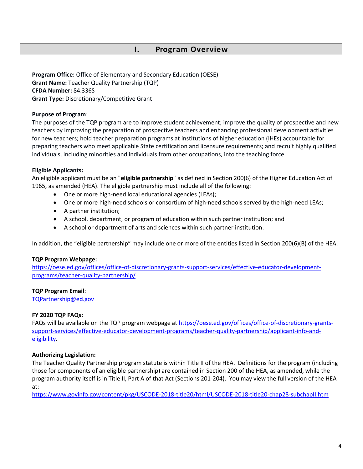#### **I. Program Overview**

<span id="page-3-0"></span>**Program Office:** Office of Elementary and Secondary Education (OESE) **Grant Name:** Teacher Quality Partnership (TQP) **CFDA Number:** 84.336S **Grant Type:** Discretionary/Competitive Grant

#### **Purpose of Program**:

The purposes of the TQP program are to improve student achievement; improve the quality of prospective and new teachers by improving the preparation of prospective teachers and enhancing professional development activities for new teachers; hold teacher preparation programs at institutions of higher education (IHEs) accountable for preparing teachers who meet applicable State certification and licensure requirements; and recruit highly qualified individuals, including minorities and individuals from other occupations, into the teaching force.

#### **Eligible Applicants:**

An eligible applicant must be an "**eligible partnership**" as defined in Section 200(6) of the Higher Education Act of 1965, as amended (HEA). The eligible partnership must include all of the following:

- One or more high-need local educational agencies (LEAs);
- One or more high-need schools or consortium of high-need schools served by the high-need LEAs;
- A partner institution;
- A school, department, or program of education within such partner institution; and
- A school or department of arts and sciences within such partner institution.

In addition, the "eligible partnership" may include one or more of the entities listed in Section 200(6)(B) of the HEA.

#### **TQP Program Webpage:**

[https://oese.ed.gov/offices/office-of-discretionary-grants-support-services/effective-educator-development](https://oese.ed.gov/offices/office-of-discretionary-grants-support-services/effective-educator-development-programs/teacher-quality-partnership/)[programs/teacher-quality-partnership/](https://oese.ed.gov/offices/office-of-discretionary-grants-support-services/effective-educator-development-programs/teacher-quality-partnership/)

#### **TQP Program Email**:

[TQPartnership@ed.gov](mailto:TQPartnership@ed.gov)

#### **FY 2020 TQP FAQs:**

FAQs will be available on the TQP program webpage a[t https://oese.ed.gov/offices/office-of-discretionary-grants](https://oese.ed.gov/offices/office-of-discretionary-grants-support-services/effective-educator-development-programs/teacher-quality-partnership/applicant-info-and-eligibility)[support-services/effective-educator-development-programs/teacher-quality-partnership/applicant-info-and](https://oese.ed.gov/offices/office-of-discretionary-grants-support-services/effective-educator-development-programs/teacher-quality-partnership/applicant-info-and-eligibility)[eligibility.](https://oese.ed.gov/offices/office-of-discretionary-grants-support-services/effective-educator-development-programs/teacher-quality-partnership/applicant-info-and-eligibility)

#### **Authorizing Legislation:**

The Teacher Quality Partnership program statute is within Title II of the HEA. Definitions for the program (including those for components of an eligible partnership) are contained in Section 200 of the HEA, as amended, while the program authority itself is in Title II, Part A of that Act (Sections 201-204). You may view the full version of the HEA at:

<https://www.govinfo.gov/content/pkg/USCODE-2018-title20/html/USCODE-2018-title20-chap28-subchapII.htm>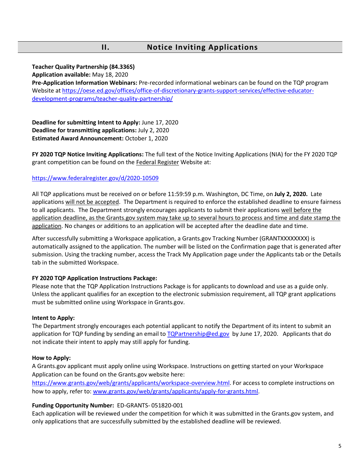### **II. Notice Inviting Applications**

#### **Teacher Quality Partnership (84.336S)**

**Application available:** May 18, 2020

**Pre-Application Information Webinars:** Pre-recorded informational webinars can be found on the TQP program Website at [https://oese.ed.gov/offices/office-of-discretionary-grants-support-services/effective-educator](https://oese.ed.gov/offices/office-of-discretionary-grants-support-services/effective-educator-development-programs/teacher-quality-partnership/)[development-programs/teacher-quality-partnership/](https://oese.ed.gov/offices/office-of-discretionary-grants-support-services/effective-educator-development-programs/teacher-quality-partnership/)

**Deadline for submitting Intent to Apply:** June 17, 2020 **Deadline for transmitting applications:** July 2, 2020 **Estimated Award Announcement:** October 1, 2020

**FY 2020 [TQP Notice Inviting Applications:](https://www.federalregister.gov/articles/2014/08/18/2014-19426/applications-for-new-awards-preschool-development-grants-development-grants)** The full text of the Notice Inviting Applications (NIA) for the FY 2020 TQP grant competition can be found on the Federal Register Website at:

#### <https://www.federalregister.gov/d/2020-10509>

All TQP applications must be received on or before 11:59:59 p.m. Washington, DC Time, on **July 2, 2020.** Late applications will not be accepted. The Department is required to enforce the established deadline to ensure fairness to all applicants. The Department strongly encourages applicants to submit their applications well before the application deadline, as the Grants.gov system may take up to several hours to process and time and date stamp the application. No changes or additions to an application will be accepted after the deadline date and time.

After successfully submitting a Workspace application, a Grants.gov Tracking Number (GRANTXXXXXXXX) is automatically assigned to the application. The number will be listed on the Confirmation page that is generated after submission. Using the tracking number, access the Track My Application page under the Applicants tab or the Details tab in the submitted Workspace.

#### **FY [2020](http://www.grants.gov/web/grants/applicants/download-application-package.html?p_p_id=grantsdownloadpackage_WAR_grantsdownloadpackageportlet&p_p_lifecycle=0&p_p_state=normal&p_p_mode=view&p_p_col_id=column-1&p_p_col_pos=1&p_p_col_count=2&_grantsdownloadpackage_WAR_grantsdownloadpackageportlet_mvcPath=%2Fdownload.jsp&id=203626) TQP Application Instructions Package:**

Please note that the TQP Application Instructions Package is for applicants to download and use as a guide only. Unless the applicant qualifies for an exception to the electronic submission requirement, all TQP grant applications must be submitted online using Workspace in Grants.gov.

#### **Intent to Apply:**

The Department strongly encourages each potential applicant to notify the Department of its intent to submit an application for TQP funding by sending an email to [TQPartnership@ed.gov](mailto:TQPartnership@ed.gov) by June 17, 2020. Applicants that do not indicate their intent to apply may still apply for funding.

#### **How to Apply:**

A Grants.gov applicant must apply online using Workspace. Instructions on getting started on your Workspace Application can be found on the Grants.gov website here:

[https://www.grants.gov/web/grants/applicants/workspace-overview.html.](https://www.grants.gov/web/grants/applicants/workspace-overview.html) For access to complete instructions on how to apply, refer to: [www.grants.gov/web/grants/applicants/apply-for-grants.html.](http://www.grants.gov/web/grants/applicants/apply-for-grants.html)

#### **Funding Opportunity Number:** ED-GRANTS- 051820-001

Each application will be reviewed under the competition for which it was submitted in the Grants.gov system, and only applications that are successfully submitted by the established deadline will be reviewed.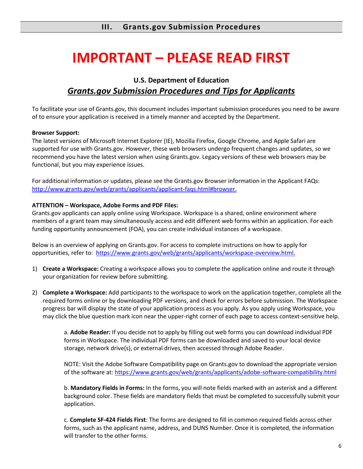# **IMPORTANT – PLEASE READ FIRST**

# **U.S. Department of Education** *Grants.gov Submission Procedures and Tips for Applicants*

To facilitate your use of Grants.gov, this document includes important submission procedures you need to be aware of to ensure your application is received in a timely manner and accepted by the Department.

#### **Browser Support:**

The latest versions of Microsoft Internet Explorer (IE), Mozilla Firefox, Google Chrome, and Apple Safari are supported for use with Grants.gov. However, these web browsers undergo frequent changes and updates, so we recommend you have the latest version when using Grants.gov. Legacy versions of these web browsers may be functional, but you may experience issues.

For additional information or updates, please see the Grants.gov Browser information in the Applicant FAQs: [http://www.grants.gov/web/grants/applicants/applicant-faqs.html#browser.](http://www.grants.gov/web/grants/applicants/applicant-faqs.html#browser)

#### **ATTENTION – Workspace, Adobe Forms and PDF Files:**

Grants.gov applicants can apply online using Workspace. Workspace is a shared, online environment where members of a grant team may simultaneously access and edit different web forms within an application. For each funding opportunity announcement (FOA), you can create individual instances of a workspace.

Below is an overview of applying on Grants.gov. For access to complete instructions on how to apply for opportunities, refer to: [https://www.grants.gov/web/grants/applicants/workspace-overview.html.](https://www.grants.gov/web/grants/applicants/workspace-overview.html)

- 1) **Create a Workspace:** Creating a workspace allows you to complete the application online and route it through your organization for review before submitting.
- 2) **Complete a Workspace:** Add participants to the workspace to work on the application together, complete all the required forms online or by downloading PDF versions, and check for errors before submission. The Workspace progress bar will display the state of your application process as you apply. As you apply using Workspace, you may click the blue question mark icon near the upper-right corner of each page to access context-sensitive help.

a. **Adobe Reader:** If you decide not to apply by filling out web forms you can download individual PDF forms in Workspace. The individual PDF forms can be downloaded and saved to your local device storage, network drive(s), or external drives, then accessed through Adobe Reader.

NOTE: Visit the Adobe Software Compatibility page on Grants.gov to download the appropriate version of the software at[: https://www.grants.gov/web/grants/applicants/adobe-software-compatibility.html](https://www.grants.gov/web/grants/applicants/adobe-software-compatibility.html)

b. **Mandatory Fields in Forms:** In the forms, you will note fields marked with an asterisk and a different background color. These fields are mandatory fields that must be completed to successfully submit your application.

c. **Complete SF-424 Fields First**: The forms are designed to fill in common required fields across other forms, such as the applicant name, address, and DUNS Number. Once it is completed, the information will transfer to the other forms.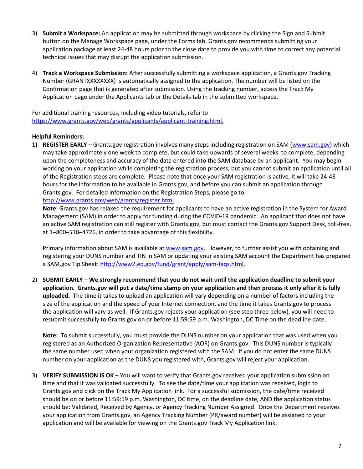- 3) **Submit a Workspace:** An application may be submitted through workspace by clicking the Sign and Submit button on the Manage Workspace page, under the Forms tab. Grants.gov recommends submitting your application package at least 24-48 hours prior to the close date to provide you with time to correct any potential technical issues that may disrupt the application submission.
- 4) **Track a Workspace Submission:** After successfully submitting a workspace application, a Grants.gov Tracking Number (GRANTXXXXXXXX) is automatically assigned to the application. The number will be listed on the Confirmation page that is generated after submission. Using the tracking number, access the Track My Application page under the Applicants tab or the Details tab in the submitted workspace.

For additional training resources, including video tutorials, refer to [https://www.grants.gov/web/grants/applicants/applicant-training.html.](https://www.grants.gov/web/grants/applicants/applicant-training.html)

#### **Helpful Reminders:**

**1) REGISTER EARLY** – Grants.gov registration involves many steps including registration on SAM [\(www.sam.gov\)](http://www.sam.gov/) which may take approximately one week to complete, but could take upwards of several weeks to complete, depending upon the completeness and accuracy of the data entered into the SAM database by an applicant. You may begin working on your application while completing the registration process, but you cannot submit an application until all of the Registration steps are complete. Please note that once your SAM registration is active, it will take 24-48 hours for the information to be available in Grants.gov, and before you can submit an application through Grants.gov. For detailed information on the Registration Steps, please go to:

#### <http://www.grants.gov/web/grants/register.html>

**Note**: Grants.gov has relaxed the requirement for applicants to have an active registration in the System for Award Management (SAM) in order to apply for funding during the COVID-19 pandemic. An applicant that does not have an active SAM registration can still register with Grants.gov, but must contact the Grants.gov Support Desk, toll-free, at 1–800–518–4726, in order to take advantage of this flexibility.

Primary information about SAM is available at [www.sam.gov.](http://www.sam.gov/) However, to further assist you with obtaining and registering your DUNS number and TIN in SAM or updating your existing SAM account the Department has prepared a SAM.gov Tip Sheet: [http://www2.ed.gov/fund/grant/apply/sam-faqs.html.](http://www2.ed.gov/fund/grant/apply/sam-faqs.html)

2) **SUBMIT EARLY** – **We strongly recommend that you do not wait until the application deadline to submit your application. Grants.gov will put a date/time stamp on your application and then process it only after it is fully uploaded.** The time it takes to upload an application will vary depending on a number of factors including the size of the application and the speed of your Internet connection, and the time it takes Grants.gov to process the application will vary as well. If Grants.gov rejects your application (see step three below), you will need to resubmit successfully to Grants.gov on or before 11:59:59 p.m. Washington, DC Time on the deadline date.

**Note:** To submit successfully, you must provide the DUNS number on your application that was used when you registered as an Authorized Organization Representative (AOR) on Grants.gov. This DUNS number is typically the same number used when your organization registered with the SAM. If you do not enter the same DUNS number on your application as the DUNS you registered with, Grants.gov will reject your application.

3) **VERIFY SUBMISSION IS OK** – You will want to verify that Grants.gov received your application submission on time and that it was validated successfully. To see the date/time your application was received, login to Grants.gov and click on the Track My Application link. For a successful submission, the date/time received should be on or before 11:59:59 p.m. Washington, DC time, on the deadline date, AND the application status should be: Validated, Received by Agency, or Agency Tracking Number Assigned. Once the Department receives your application from Grants.gov, an Agency Tracking Number (PR/award number) will be assigned to your application and will be available for viewing on the Grants.gov Track My Application link.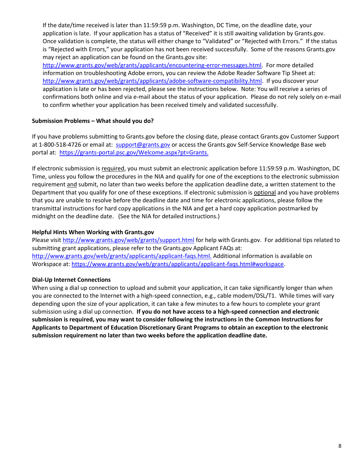If the date/time received is later than 11:59:59 p.m. Washington, DC Time, on the deadline date, your application is late. If your application has a status of "Received" it is still awaiting validation by Grants.gov. Once validation is complete, the status will either change to "Validated" or "Rejected with Errors." If the status is "Rejected with Errors," your application has not been received successfully. Some of the reasons Grants.gov may reject an application can be found on the Grants.gov site:

[http://www.grants.gov/web/grants/applicants/encountering-error-messages.html.](http://www.grants.gov/web/grants/applicants/encountering-error-messages.html) For more detailed information on troubleshooting Adobe errors, you can review the Adobe Reader Software Tip Sheet at: [http://www.grants.gov/web/grants/applicants/adobe-software-compatibility.html.](http://www.grants.gov/web/grants/applicants/adobe-software-compatibility.html) If you discover your application is late or has been rejected, please see the instructions below. Note: You will receive a series of confirmations both online and via e-mail about the status of your application. Please do not rely solely on e-mail to confirm whether your application has been received timely and validated successfully.

#### **Submission Problems – What should you do?**

If you have problems submitting to Grants.gov before the closing date, please contact Grants.gov Customer Support at 1-800-518-4726 or email at: [support@grants.gov](https://usdedeop-my.sharepoint.com/personal/soren_lagaard_ed_gov/Documents/TQP/FY20%20Competition/support@grants.gov) or access the Grants.gov Self-Service Knowledge Base web portal at: [https://grants-portal.psc.gov/Welcome.aspx?pt=Grants.](https://grants-portal.psc.gov/Welcome.aspx?pt=Grants)

If electronic submission is required, you must submit an electronic application before 11:59:59 p.m. Washington, DC Time, unless you follow the procedures in the NIA and qualify for one of the exceptions to the electronic submission requirement and submit, no later than two weeks before the application deadline date, a written statement to the Department that you qualify for one of these exceptions. If electronic submission is optional and you have problems that you are unable to resolve before the deadline date and time for electronic applications, please follow the transmittal instructions for hard copy applications in the NIA and get a hard copy application postmarked by midnight on the deadline date. (See the NIA for detailed instructions.)

#### **Helpful Hints When Working with Grants.gov**

Please visit <http://www.grants.gov/web/grants/support.html> for help with Grants.gov. For additional tips related to submitting grant applications, please refer to the Grants.gov Applicant FAQs at: [http://www.grants.gov/web/grants/applicants/applicant-faqs.html.](http://www.grants.gov/web/grants/applicants/applicant-faqs.html) Additional information is available on Workspace at: [https://www.grants.gov/web/grants/applicants/applicant-faqs.html#workspace.](https://www.grants.gov/web/grants/applicants/applicant-faqs.html#workspace)

#### **Dial-Up Internet Connections**

When using a dial up connection to upload and submit your application, it can take significantly longer than when you are connected to the Internet with a high-speed connection, e.g., cable modem/DSL/T1. While times will vary depending upon the size of your application, it can take a few minutes to a few hours to complete your grant submission using a dial up connection. **If you do not have access to a high-speed connection and electronic submission is required, you may want to consider following the instructions in the Common Instructions for Applicants to Department of Education Discretionary Grant Programs to obtain an exception to the electronic submission requirement no later than two weeks before the application deadline date.**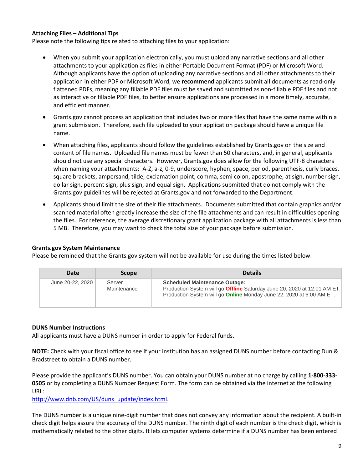#### **Attaching Files – Additional Tips**

Please note the following tips related to attaching files to your application:

- When you submit your application electronically, you must upload any narrative sections and all other attachments to your application as files in either Portable Document Format (PDF) or Microsoft Word. Although applicants have the option of uploading any narrative sections and all other attachments to their application in either PDF or Microsoft Word, we **recommend** applicants submit all documents as read-only flattened PDFs, meaning any fillable PDF files must be saved and submitted as non-fillable PDF files and not as interactive or fillable PDF files, to better ensure applications are processed in a more timely, accurate, and efficient manner.
- Grants.gov cannot process an application that includes two or more files that have the same name within a grant submission. Therefore, each file uploaded to your application package should have a unique file name.
- When attaching files, applicants should follow the guidelines established by Grants.gov on the size and content of file names. Uploaded file names must be fewer than 50 characters, and, in general, applicants should not use any special characters. However, Grants.gov does allow for the following UTF-8 characters when naming your attachments: A-Z, a-z, 0-9, underscore, hyphen, space, period, parenthesis, curly braces, square brackets, ampersand, tilde, exclamation point, comma, semi colon, apostrophe, at sign, number sign, dollar sign, percent sign, plus sign, and equal sign. Applications submitted that do not comply with the Grants.gov guidelines will be rejected at Grants.gov and not forwarded to the Department.
- Applicants should limit the size of their file attachments. Documents submitted that contain graphics and/or scanned material often greatly increase the size of the file attachments and can result in difficulties opening the files. For reference, the average discretionary grant application package with all attachments is less than 5 MB. Therefore, you may want to check the total size of your package before submission.

#### **Grants.gov System Maintenance**

Please be reminded that the Grants.gov system will not be available for use during the times listed below.

| Date             | <b>Scope</b>          | <b>Details</b>                                                                                                                                                                                         |
|------------------|-----------------------|--------------------------------------------------------------------------------------------------------------------------------------------------------------------------------------------------------|
| June 20-22, 2020 | Server<br>Maintenance | <b>Scheduled Maintenance Outage:</b><br>Production System will go <b>Offline</b> Saturday June 20, 2020 at 12:01 AM ET.<br>Production System will go <b>Online</b> Monday June 22, 2020 at 6:00 AM ET. |

#### **DUNS Number Instructions**

All applicants must have a DUNS number in order to apply for Federal funds.

**NOTE:** Check with your fiscal office to see if your institution has an assigned DUNS number before contacting Dun & Bradstreet to obtain a DUNS number.

Please provide the applicant's DUNS number. You can obtain your DUNS number at no charge by calling **1-800-333- 0505** or by completing a DUNS Number Request Form. The form can be obtained via the internet at the following URL:

[http://www.dnb.com/US/duns\\_update/index.html.](http://www.dnb.com/US/duns_update/index.html)

The DUNS number is a unique nine-digit number that does not convey any information about the recipient. A built-in check digit helps assure the accuracy of the DUNS number. The ninth digit of each number is the check digit, which is mathematically related to the other digits. It lets computer systems determine if a DUNS number has been entered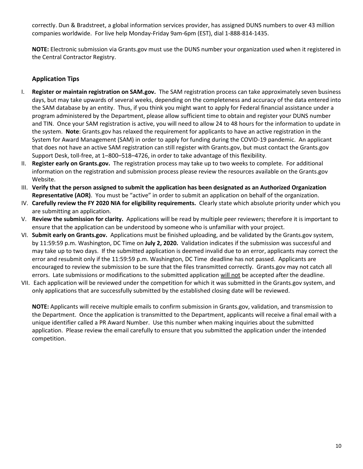correctly. Dun & Bradstreet, a global information services provider, has assigned DUNS numbers to over 43 million companies worldwide. For live help Monday-Friday 9am-6pm (EST), dial 1-888-814-1435.

**NOTE:** Electronic submission via Grants.gov must use the DUNS number your organization used when it registered in the Central Contractor Registry.

#### **Application Tips**

- I. **Register or maintain registration on SAM.gov.** The SAM registration process can take approximately seven business days, but may take upwards of several weeks, depending on the completeness and accuracy of the data entered into the SAM database by an entity. Thus, if you think you might want to apply for Federal financial assistance under a program administered by the Department, please allow sufficient time to obtain and register your DUNS number and TIN. Once your SAM registration is active, you will need to allow 24 to 48 hours for the information to update in the system. **Note**: Grants.gov has relaxed the requirement for applicants to have an active registration in the System for Award Management (SAM) in order to apply for funding during the COVID-19 pandemic. An applicant that does not have an active SAM registration can still register with Grants.gov, but must contact the Grants.gov Support Desk, toll-free, at 1–800–518–4726, in order to take advantage of this flexibility.
- II. **Register early on Grants.gov.** The registration process may take up to two weeks to complete. For additional information on the registration and submission process please review the resources available on the Grants.gov Website.
- III. **Verify that the person assigned to submit the application has been designated as an Authorized Organization Representative (AOR)**. You must be "active" in order to submit an application on behalf of the organization.
- IV. **Carefully review the FY 2020 NIA for eligibility requirements.** Clearly state which absolute priority under which you are submitting an application.
- V. **Review the submission for clarity.** Applications will be read by multiple peer reviewers; therefore it is important to ensure that the application can be understood by someone who is unfamiliar with your project.
- VI. **Submit early on Grants.gov.** Applications must be finished uploading, and be validated by the Grants.gov system, by 11:59:59 p.m. Washington, DC Time on **July 2, 2020.** Validation indicates if the submission was successful and may take up to two days. If the submitted application is deemed invalid due to an error, applicants may correct the error and resubmit only if the 11:59:59 p.m. Washington, DC Time deadline has not passed. Applicants are encouraged to review the submission to be sure that the files transmitted correctly. Grants.gov may not catch all errors. Late submissions or modifications to the submitted application will not be accepted after the deadline.
- VII. Each application will be reviewed under the competition for which it was submitted in the Grants.gov system, and only applications that are successfully submitted by the established closing date will be reviewed.

**NOTE:** Applicants will receive multiple emails to confirm submission in Grants.gov, validation, and transmission to the Department. Once the application is transmitted to the Department, applicants will receive a final email with a unique identifier called a PR Award Number. Use this number when making inquiries about the submitted application. Please review the email carefully to ensure that you submitted the application under the intended competition.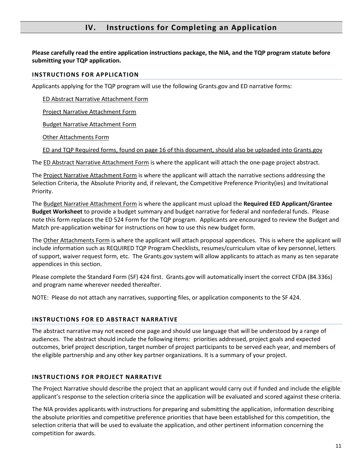## **IV. Instructions for Completing an Application**

**Please carefully read the entire application instructions package, the NIA, and the TQP program statute before submitting your TQP application.**

#### **INSTRUCTIONS FOR APPLICATION**

Applicants applying for the TQP program will use the following Grants.gov and ED narrative forms:

ED Abstract Narrative Attachment Form

Project Narrative Attachment Form

Budget Narrative Attachment Form

Other Attachments Form

ED and TQP Required forms, found on page 16 of this document, should also be uploaded into Grants.gov

The ED Abstract Narrative Attachment Form is where the applicant will attach the one-page project abstract.

The Project Narrative Attachment Form is where the applicant will attach the narrative sections addressing the Selection Criteria, the Absolute Priority and, if relevant, the Competitive Preference Priority(ies) and Invitational Priority.

The Budget Narrative Attachment Form is where the applicant must upload the **Required EED Applicant/Grantee Budget Worksheet** to provide a budget summary and budget narrative for federal and nonfederal funds. Please note this form replaces the ED 524 Form for the TQP program. Applicants are encouraged to review the Budget and Match pre-application webinar for instructions on how to use this new budget form.

The Other Attachments Form is where the applicant will attach proposal appendices. This is where the applicant will include information such as REQUIRED TQP Program Checklists, resumes/curriculum vitae of key personnel, letters of support, waiver request form, etc. The Grants.gov system will allow applicants to attach as many as ten separate appendices in this section.

Please complete the Standard Form (SF) 424 first. Grants.gov will automatically insert the correct CFDA (84.336s) and program name wherever needed thereafter.

NOTE: Please do not attach any narratives, supporting files, or application components to the SF 424.

#### **INSTRUCTIONS FOR ED ABSTRACT NARRATIVE**

The abstract narrative may not exceed one page and should use language that will be understood by a range of audiences. The abstract should include the following items: priorities addressed, project goals and expected outcomes, brief project description, target number of project participants to be served each year, and members of the eligible partnership and any other key partner organizations. It is a summary of your project.

#### **INSTRUCTIONS FOR PROJECT NARRATIVE**

The Project Narrative should describe the project that an applicant would carry out if funded and include the eligible applicant's response to the selection criteria since the application will be evaluated and scored against these criteria.

The NIA provides applicants with instructions for preparing and submitting the application, information describing the absolute priorities and competitive preference priorities that have been established for this competition, the selection criteria that will be used to evaluate the application, and other pertinent information concerning the competition for awards.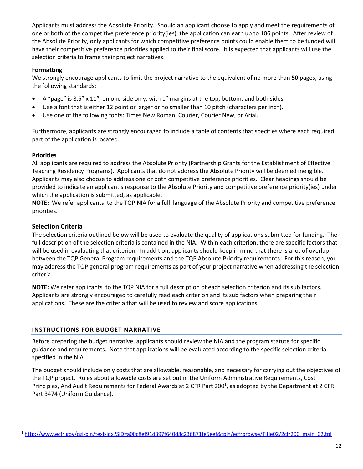Applicants must address the Absolute Priority. Should an applicant choose to apply and meet the requirements of one or both of the competitive preference priority(ies), the application can earn up to 106 points. After review of the Absolute Priority, only applicants for which competitive preference points could enable them to be funded will have their competitive preference priorities applied to their final score. It is expected that applicants will use the selection criteria to frame their project narratives.

#### **Formatting**

We strongly encourage applicants to limit the project narrative to the equivalent of no more than **50** pages, using the following standards:

- A "page" is 8.5" x 11", on one side only, with 1" margins at the top, bottom, and both sides.
- Use a font that is either 12 point or larger or no smaller than 10 pitch (characters per inch).
- Use one of the following fonts: Times New Roman, Courier, Courier New, or Arial.

Furthermore, applicants are strongly encouraged to include a table of contents that specifies where each required part of the application is located.

#### **Priorities**

All applicants are required to address the Absolute Priority (Partnership Grants for the Establishment of Effective Teaching Residency Programs). Applicants that do not address the Absolute Priority will be deemed ineligible. Applicants may also choose to address one or both competitive preference priorities. Clear headings should be provided to indicate an applicant's response to the Absolute Priority and competitive preference priority(ies) under which the application is submitted, as applicable.

**NOTE:** We refer applicants to the TQP NIA for a full language of the Absolute Priority and competitive preference priorities.

#### **Selection Criteria**

The selection criteria outlined below will be used to evaluate the quality of applications submitted for funding. The full description of the selection criteria is contained in the NIA. Within each criterion, there are specific factors that will be used in evaluating that criterion. In addition, applicants should keep in mind that there is a lot of overlap between the TQP General Program requirements and the TQP Absolute Priority requirements. For this reason, you may address the TQP general program requirements as part of your project narrative when addressing the selection criteria.

**NOTE:** We refer applicants to the TQP NIA for a full description of each selection criterion and its sub factors. Applicants are strongly encouraged to carefully read each criterion and its sub factors when preparing their applications. These are the criteria that will be used to review and score applications.

#### **INSTRUCTIONS FOR BUDGET NARRATIVE**

Before preparing the budget narrative, applicants should review the NIA and the program statute for specific guidance and requirements. Note that applications will be evaluated according to the specific selection criteria specified in the NIA.

The budget should include only costs that are allowable, reasonable, and necessary for carrying out the objectives of the TQP project. Rules about allowable costs are set out in the Uniform Administrative Requirements, Cost Principles, And Audit Requirements for Federal Awards at 2 CFR Part 200<sup>1</sup>, as adopted by the Department at 2 CFR Part 3474 (Uniform Guidance).

<sup>1</sup> [http://www.ecfr.gov/cgi-bin/text-idx?SID=a00c8ef91d397f640d8c236871fe5eef&tpl=/ecfrbrowse/Title02/2cfr200\\_main\\_02.tpl](http://www.ecfr.gov/cgi-bin/text-idx?SID=a00c8ef91d397f640d8c236871fe5eef&tpl=/ecfrbrowse/Title02/2cfr200_main_02.tpl)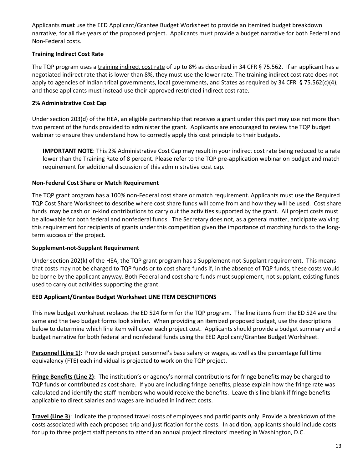Applicants **must** use the EED Applicant/Grantee Budget Worksheet to provide an itemized budget breakdown narrative, for all five years of the proposed project. Applicants must provide a budget narrative for both Federal and Non-Federal costs.

#### **Training Indirect Cost Rate**

The TQP program uses a training indirect cost rate of up to 8% as described in 34 CFR § 75.562. If an applicant has a negotiated indirect rate that is lower than 8%, they must use the lower rate. The training indirect cost rate does not apply to agencies of Indian tribal governments, local governments, and States as required by 34 CFR § 75.562(c)(4), and those applicants must instead use their approved restricted indirect cost rate.

#### **2% Administrative Cost Cap**

Under section 203(d) of the HEA, an eligible partnership that receives a grant under this part may use not more than two percent of the funds provided to administer the grant. Applicants are encouraged to review the TQP budget webinar to ensure they understand how to correctly apply this cost principle to their budgets.

**IMPORTANT NOTE**: This 2% Administrative Cost Cap may result in your indirect cost rate being reduced to a rate lower than the Training Rate of 8 percent. Please refer to the TQP pre-application webinar on budget and match requirement for additional discussion of this administrative cost cap.

#### **Non-Federal Cost Share or Match Requirement**

The TQP grant program has a 100% non-Federal cost share or match requirement. Applicants must use the Required TQP Cost Share Worksheet to describe where cost share funds will come from and how they will be used. Cost share funds may be cash or in-kind contributions to carry out the activities supported by the grant. All project costs must be allowable for both federal and nonfederal funds. The Secretary does not, as a general matter, anticipate waiving this requirement for recipients of grants under this competition given the importance of matching funds to the longterm success of the project.

#### **Supplement-not-Supplant Requirement**

Under section 202(k) of the HEA, the TQP grant program has a Supplement-not-Supplant requirement. This means that costs may not be charged to TQP funds or to cost share funds if, in the absence of TQP funds, these costs would be borne by the applicant anyway. Both Federal and cost share funds must supplement, not supplant, existing funds used to carry out activities supporting the grant.

#### **EED Applicant/Grantee Budget Worksheet LINE ITEM DESCRIPTIONS**

This new budget worksheet replaces the ED 524 form for the TQP program. The line items from the ED 524 are the same and the two budget forms look similar. When providing an itemized proposed budget, use the descriptions below to determine which line item will cover each project cost. Applicants should provide a budget summary and a budget narrative for both federal and nonfederal funds using the EED Applicant/Grantee Budget Worksheet.

**Personnel (Line 1**): Provide each project personnel's base salary or wages, as well as the percentage full time equivalency (FTE) each individual is projected to work on the TQP project.

**Fringe Benefits (Line 2)**: The institution's or agency's normal contributions for fringe benefits may be charged to TQP funds or contributed as cost share. If you are including fringe benefits, please explain how the fringe rate was calculated and identify the staff members who would receive the benefits. Leave this line blank if fringe benefits applicable to direct salaries and wages are included in indirect costs.

**Travel (Line 3**): Indicate the proposed travel costs of employees and participants only. Provide a breakdown of the costs associated with each proposed trip and justification for the costs. In addition, applicants should include costs for up to three project staff persons to attend an annual project directors' meeting in Washington, D.C.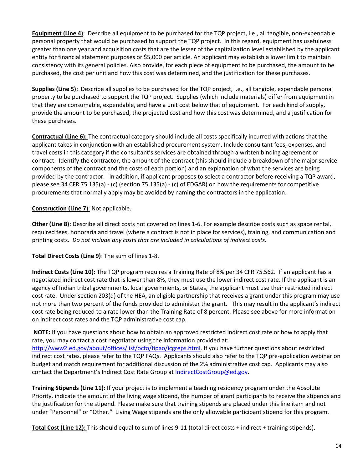**Equipment (Line 4)**: Describe all equipment to be purchased for the TQP project, i.e., all tangible, non-expendable personal property that would be purchased to support the TQP project. In this regard, equipment has usefulness greater than one year and acquisition costs that are the lesser of the capitalization level established by the applicant entity for financial statement purposes or \$5,000 per article. An applicant may establish a lower limit to maintain consistency with its general policies. Also provide, for each piece of equipment to be purchased, the amount to be purchased, the cost per unit and how this cost was determined, and the justification for these purchases.

**Supplies (Line 5):** Describe all supplies to be purchased for the TQP project, i.e., all tangible, expendable personal property to be purchased to support the TQP project. Supplies (which include materials) differ from equipment in that they are consumable, expendable, and have a unit cost below that of equipment. For each kind of supply, provide the amount to be purchased, the projected cost and how this cost was determined, and a justification for these purchases.

**Contractual (Line 6):** The contractual category should include all costs specifically incurred with actions that the applicant takes in conjunction with an established procurement system. Include consultant fees, expenses, and travel costs in this category if the consultant's services are obtained through a written binding agreement or contract. Identify the contractor, the amount of the contract (this should include a breakdown of the major service components of the contract and the costs of each portion) and an explanation of what the services are being provided by the contractor. In addition, if applicant proposes to select a contractor before receiving a TQP award, please see 34 CFR 75.135(a) - (c) (section 75.135(a) - (c) of EDGAR) on how the requirements for competitive procurements that normally apply may be avoided by naming the contractors in the application.

#### **Construction (Line 7)**: Not applicable.

**Other (Line 8):** Describe all direct costs not covered on lines 1-6. For example describe costs such as space rental, required fees, honoraria and travel (where a contract is not in place for services), training, and communication and printing costs. *Do not include any costs that are included in calculations of indirect costs.* 

#### **Total Direct Costs (Line 9)**: The sum of lines 1-8.

**Indirect Costs (Line 10):** The TQP program requires a Training Rate of 8% per 34 CFR 75.562. If an applicant has a negotiated indirect cost rate that is lower than 8%, they must use the lower indirect cost rate. If the applicant is an agency of Indian tribal governments, local governments, or States, the applicant must use their restricted indirect cost rate. Under section 203(d) of the HEA, an eligible partnership that receives a grant under this program may use not more than two percent of the funds provided to administer the grant. This may result in the applicant's indirect cost rate being reduced to a rate lower than the Training Rate of 8 percent. Please see above for more information on indirect cost rates and the TQP administrative cost cap.

**NOTE:** If you have questions about how to obtain an approved restricted indirect cost rate or how to apply that rate, you may contact a cost negotiator using the information provided at: [http://www2.ed.gov/about/offices/list/ocfo/fipao/icgreps.html.](http://www2.ed.gov/about/offices/list/ocfo/fipao/icgreps.html) If you have further questions about restricted indirect cost rates, please refer to the TQP FAQs. Applicants should also refer to the TQP pre-application webinar on budget and match requirement for additional discussion of the 2% administrative cost cap. Applicants may also contact the Department's Indirect Cost Rate Group at [IndirectCostGroup@ed.gov.](mailto:IndirectCostGroup@ed.gov)

**Training Stipends (Line 11):** If your project is to implement a teaching residency program under the Absolute Priority, indicate the amount of the living wage stipend, the number of grant participants to receive the stipends and the justification for the stipend. Please make sure that training stipends are placed under this line item and not under "Personnel" or "Other." Living Wage stipends are the only allowable participant stipend for this program.

**Total Cost (Line 12):** This should equal to sum of lines 9-11 (total direct costs + indirect + training stipends).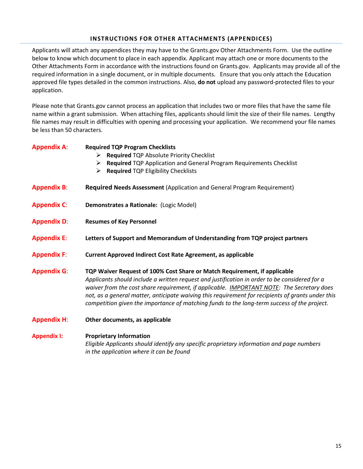#### **INSTRUCTIONS FOR OTHER ATTACHMENTS (APPENDICES)**

Applicants will attach any appendices they may have to the Grants.gov Other Attachments Form. Use the outline below to know which document to place in each appendix. Applicant may attach one or more documents to the Other Attachments Form in accordance with the instructions found on Grants.gov. Applicants may provide all of the required information in a single document, or in multiple documents. Ensure that you only attach the Education approved file types detailed in the common instructions. Also, **do not** upload any password-protected files to your application.

Please note that Grants.gov cannot process an application that includes two or more files that have the same file name within a grant submission. When attaching files, applicants should limit the size of their file names. Lengthy file names may result in difficulties with opening and processing your application. We recommend your file names be less than 50 characters.

| <b>Appendix A:</b> | <b>Required TQP Program Checklists</b><br>Required TQP Absolute Priority Checklist<br>➤<br>Required TQP Application and General Program Requirements Checklist<br>➤<br><b>Required TQP Eligibility Checklists</b><br>➤                                                                                                                                                                                                                                                      |
|--------------------|-----------------------------------------------------------------------------------------------------------------------------------------------------------------------------------------------------------------------------------------------------------------------------------------------------------------------------------------------------------------------------------------------------------------------------------------------------------------------------|
| <b>Appendix B:</b> | <b>Required Needs Assessment (Application and General Program Requirement)</b>                                                                                                                                                                                                                                                                                                                                                                                              |
| <b>Appendix C:</b> | Demonstrates a Rationale: (Logic Model)                                                                                                                                                                                                                                                                                                                                                                                                                                     |
| <b>Appendix D:</b> | <b>Resumes of Key Personnel</b>                                                                                                                                                                                                                                                                                                                                                                                                                                             |
| <b>Appendix E:</b> | Letters of Support and Memorandum of Understanding from TQP project partners                                                                                                                                                                                                                                                                                                                                                                                                |
| <b>Appendix F:</b> | <b>Current Approved Indirect Cost Rate Agreement, as applicable</b>                                                                                                                                                                                                                                                                                                                                                                                                         |
| <b>Appendix G:</b> | TQP Waiver Request of 100% Cost Share or Match Requirement, if applicable<br>Applicants should include a written request and justification in order to be considered for a<br>waiver from the cost share requirement, if applicable. IMPORTANT NOTE: The Secretary does<br>not, as a general matter, anticipate waiving this requirement for recipients of grants under this<br>competition given the importance of matching funds to the long-term success of the project. |
| <b>Appendix H:</b> | Other documents, as applicable                                                                                                                                                                                                                                                                                                                                                                                                                                              |
| <b>Appendix I:</b> | <b>Proprietary Information</b><br>Eligible Applicants should identify any specific proprietary information and page numbers<br>in the application where it can be found                                                                                                                                                                                                                                                                                                     |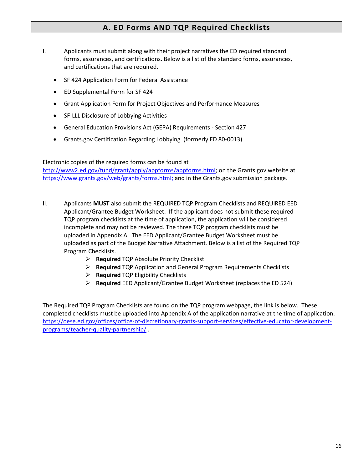## **A. ED Forms AND TQP Required Checklists**

- I. Applicants must submit along with their project narratives the ED required standard forms, assurances, and certifications. Below is a list of the standard forms, assurances, and certifications that are required.
	- SF 424 Application Form for Federal Assistance
	- ED Supplemental Form for SF 424
	- Grant Application Form for Project Objectives and Performance Measures
	- SF-LLL Disclosure of Lobbying Activities
	- General Education Provisions Act (GEPA) Requirements Section 427
	- Grants.gov Certification Regarding Lobbying (formerly ED 80-0013)

#### Electronic copies of the required forms can be found at

[http://www2.ed.gov/fund/grant/apply/appforms/appforms.html;](http://www2.ed.gov/fund/grant/apply/appforms/appforms.html) on the Grants.gov website at [https://www.grants.gov/web/grants/forms.html;](https://www.grants.gov/web/grants/forms.html) and in the Grants.gov submission package.

- II. Applicants **MUST** also submit the REQUIRED TQP Program Checklists and REQUIRED EED Applicant/Grantee Budget Worksheet. If the applicant does not submit these required TQP program checklists at the time of application, the application will be considered incomplete and may not be reviewed. The three TQP program checklists must be uploaded in Appendix A. The EED Applicant/Grantee Budget Worksheet must be uploaded as part of the Budget Narrative Attachment. Below is a list of the Required TQP Program Checklists.
	- ➢ **Required** TQP Absolute Priority Checklist
	- ➢ **Required** TQP Application and General Program Requirements Checklists
	- ➢ **Required** TQP Eligibility Checklists
	- ➢ **Required** EED Applicant/Grantee Budget Worksheet (replaces the ED 524)

The Required TQP Program Checklists are found on the TQP program webpage, the link is below. These completed checklists must be uploaded into Appendix A of the application narrative at the time of application. [https://oese.ed.gov/offices/office-of-discretionary-grants-support-services/effective-educator-development](https://oese.ed.gov/offices/office-of-discretionary-grants-support-services/effective-educator-development-programs/teacher-quality-partnership/)[programs/teacher-quality-partnership/](https://oese.ed.gov/offices/office-of-discretionary-grants-support-services/effective-educator-development-programs/teacher-quality-partnership/) .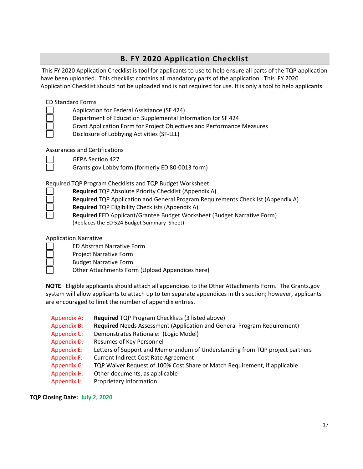# **B. FY 2020 Application Checklist**

This FY 2020 Application Checklist is tool for applicants to use to help ensure all parts of the TQP application have been uploaded. This checklist contains all mandatory parts of the application. This FY 2020 Application Checklist should not be uploaded and is not required for use. It is only a tool to help applicants.

#### ED Standard Forms

| Application for Federal Assistance (SF 424) |  |
|---------------------------------------------|--|
|---------------------------------------------|--|

- Department of Education Supplemental Information for SF 424
- Grant Application Form for Project Objectives and Performance Measures
- Disclosure of Lobbying Activities (SF-LLL)

Assurances and Certifications

GEPA Section 427

Grants.gov Lobby form (formerly ED 80-0013 form)

Required TQP Program Checklists and TQP Budget Worksheet.

- **Required** TQP Absolute Priority Checklist (Appendix A)
	- **Required** TQP Application and General Program Requirements Checklist (Appendix A)
- **Required** TQP Eligibility Checklists (Appendix A)

**Required** EED Applicant/Grantee Budget Worksheet (Budget Narrative Form) (Replaces the ED 524 Budget Summary Sheet)

#### Application Narrative

- ED Abstract Narrative Form
- Project Narrative Form
- Budget Narrative Form
	- Other Attachments Form (Upload Appendices here)

**NOTE**: Eligible applicants should attach all appendices to the Other Attachments Form. The Grants.gov system will allow applicants to attach up to ten separate appendices in this section; however, applicants are encouraged to limit the number of appendix entries.

- Appendix A: **Required** TQP Program Checklists (3 listed above) Appendix B: **Required** Needs Assessment (Application and General Program Requirement) Appendix C: Demonstrates Rationale: (Logic Model) Appendix D: Resumes of Key Personnel Appendix E: Letters of Support and Memorandum of Understanding from TQP project partners Appendix F: Current Indirect Cost Rate Agreement Appendix G: TQP Waiver Request of 100% Cost Share or Match Requirement, if applicable Appendix H: Other documents, as applicable
- Appendix I: Proprietary Information

#### **TQP Closing Date: July 2, 2020**